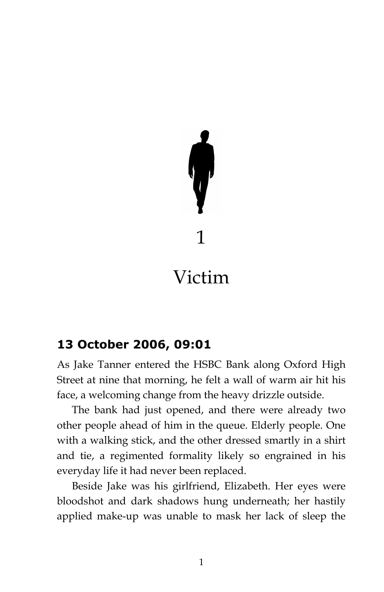# 1 Victim

## **13 October 2006, 09:01**

As Jake Tanner entered the HSBC Bank along Oxford High Street at nine that morning, he felt a wall of warm air hit his face, a welcoming change from the heavy drizzle outside.

The bank had just opened, and there were already two other people ahead of him in the queue. Elderly people. One with a walking stick, and the other dressed smartly in a shirt and tie, a regimented formality likely so engrained in his everyday life it had never been replaced.

Beside Jake was his girlfriend, Elizabeth. Her eyes were bloodshot and dark shadows hung underneath; her hastily applied make-up was unable to mask her lack of sleep the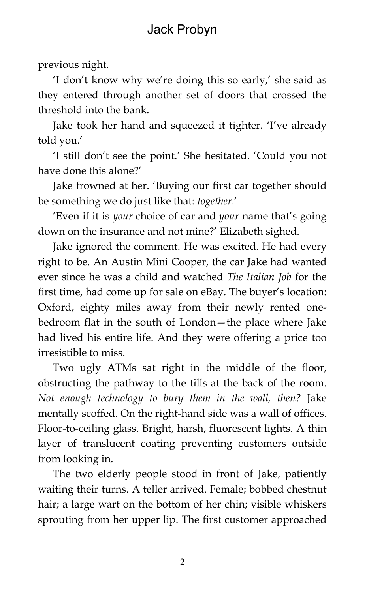## Jack Probyn

previous night.

'I don't know why we're doing this so early,' she said as they entered through another set of doors that crossed the threshold into the bank.

Jake took her hand and squeezed it tighter. 'I've already told you.'

'I still don't see the point.' She hesitated. 'Could you not have done this alone?'

Jake frowned at her. 'Buying our first car together should be something we do just like that: *together*.'

'Even if it is *your* choice of car and *your* name that's going down on the insurance and not mine?' Elizabeth sighed.

Jake ignored the comment. He was excited. He had every right to be. An Austin Mini Cooper, the car Jake had wanted ever since he was a child and watched *The Italian Job* for the first time, had come up for sale on eBay. The buyer's location: Oxford, eighty miles away from their newly rented onebedroom flat in the south of London—the place where Jake had lived his entire life. And they were offering a price too irresistible to miss.

Two ugly ATMs sat right in the middle of the floor, obstructing the pathway to the tills at the back of the room. *Not enough technology to bury them in the wall, then?* Jake mentally scoffed. On the right-hand side was a wall of offices. Floor-to-ceiling glass. Bright, harsh, fluorescent lights. A thin layer of translucent coating preventing customers outside from looking in.

The two elderly people stood in front of Jake, patiently waiting their turns. A teller arrived. Female; bobbed chestnut hair; a large wart on the bottom of her chin; visible whiskers sprouting from her upper lip. The first customer approached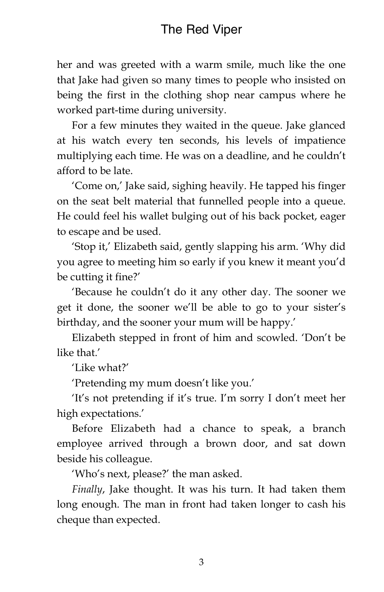her and was greeted with a warm smile, much like the one that Jake had given so many times to people who insisted on being the first in the clothing shop near campus where he worked part-time during university.

For a few minutes they waited in the queue. Jake glanced at his watch every ten seconds, his levels of impatience multiplying each time. He was on a deadline, and he couldn't afford to be late.

'Come on,' Jake said, sighing heavily. He tapped his finger on the seat belt material that funnelled people into a queue. He could feel his wallet bulging out of his back pocket, eager to escape and be used.

'Stop it,' Elizabeth said, gently slapping his arm. 'Why did you agree to meeting him so early if you knew it meant you'd be cutting it fine?'

'Because he couldn't do it any other day. The sooner we get it done, the sooner we'll be able to go to your sister's birthday, and the sooner your mum will be happy.'

Elizabeth stepped in front of him and scowled. 'Don't be like that.'

'Like what?'

'Pretending my mum doesn't like you.'

'It's not pretending if it's true. I'm sorry I don't meet her high expectations.'

Before Elizabeth had a chance to speak, a branch employee arrived through a brown door, and sat down beside his colleague.

'Who's next, please?' the man asked.

*Finally*, Jake thought. It was his turn. It had taken them long enough. The man in front had taken longer to cash his cheque than expected.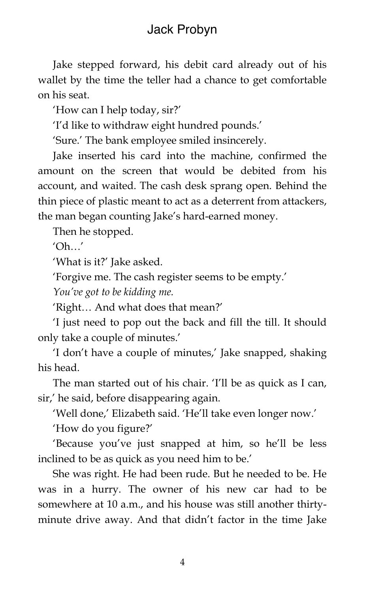## Jack Probyn

Jake stepped forward, his debit card already out of his wallet by the time the teller had a chance to get comfortable on his seat.

'How can I help today, sir?'

'I'd like to withdraw eight hundred pounds.'

'Sure.' The bank employee smiled insincerely.

Jake inserted his card into the machine, confirmed the amount on the screen that would be debited from his account, and waited. The cash desk sprang open. Behind the thin piece of plastic meant to act as a deterrent from attackers, the man began counting Jake's hard-earned money.

Then he stopped.

 $'Oh...'$ 

'What is it?' Jake asked.

'Forgive me. The cash register seems to be empty.'

*You've got to be kidding me.*

'Right… And what does that mean?'

'I just need to pop out the back and fill the till. It should only take a couple of minutes.'

'I don't have a couple of minutes,' Jake snapped, shaking his head.

The man started out of his chair. 'I'll be as quick as I can, sir,' he said, before disappearing again.

'Well done,' Elizabeth said. 'He'll take even longer now.'

'How do you figure?'

'Because you've just snapped at him, so he'll be less inclined to be as quick as you need him to be.'

She was right. He had been rude. But he needed to be. He was in a hurry. The owner of his new car had to be somewhere at 10 a.m., and his house was still another thirtyminute drive away. And that didn't factor in the time Jake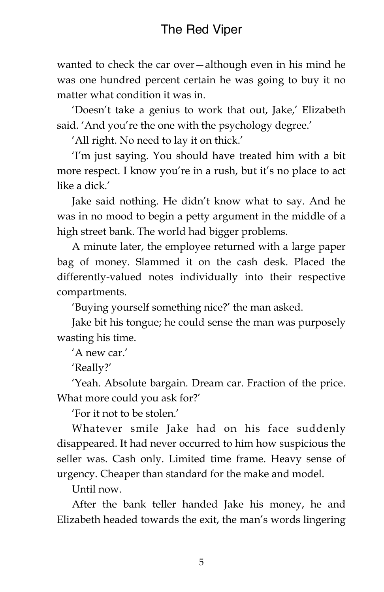wanted to check the car over—although even in his mind he was one hundred percent certain he was going to buy it no matter what condition it was in.

'Doesn't take a genius to work that out, Jake,' Elizabeth said. 'And you're the one with the psychology degree.'

'All right. No need to lay it on thick.'

'I'm just saying. You should have treated him with a bit more respect. I know you're in a rush, but it's no place to act like a dick.'

Jake said nothing. He didn't know what to say. And he was in no mood to begin a petty argument in the middle of a high street bank. The world had bigger problems.

A minute later, the employee returned with a large paper bag of money. Slammed it on the cash desk. Placed the differently-valued notes individually into their respective compartments.

'Buying yourself something nice?' the man asked.

Jake bit his tongue; he could sense the man was purposely wasting his time.

'A new car.'

'Really?'

'Yeah. Absolute bargain. Dream car. Fraction of the price. What more could you ask for?'

'For it not to be stolen.'

Whatever smile Jake had on his face suddenly disappeared. It had never occurred to him how suspicious the seller was. Cash only. Limited time frame. Heavy sense of urgency. Cheaper than standard for the make and model.

Until now.

After the bank teller handed Jake his money, he and Elizabeth headed towards the exit, the man's words lingering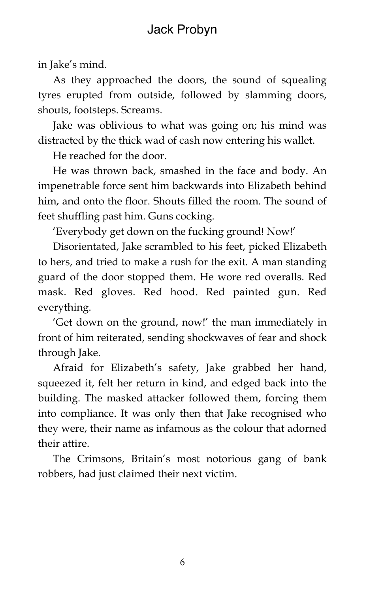in Jake's mind.

As they approached the doors, the sound of squealing tyres erupted from outside, followed by slamming doors, shouts, footsteps. Screams.

Jake was oblivious to what was going on; his mind was distracted by the thick wad of cash now entering his wallet.

He reached for the door.

He was thrown back, smashed in the face and body. An impenetrable force sent him backwards into Elizabeth behind him, and onto the floor. Shouts filled the room. The sound of feet shuffling past him. Guns cocking.

'Everybody get down on the fucking ground! Now!'

Disorientated, Jake scrambled to his feet, picked Elizabeth to hers, and tried to make a rush for the exit. A man standing guard of the door stopped them. He wore red overalls. Red mask. Red gloves. Red hood. Red painted gun. Red everything.

'Get down on the ground, now!' the man immediately in front of him reiterated, sending shockwaves of fear and shock through Jake.

Afraid for Elizabeth's safety, Jake grabbed her hand, squeezed it, felt her return in kind, and edged back into the building. The masked attacker followed them, forcing them into compliance. It was only then that Jake recognised who they were, their name as infamous as the colour that adorned their attire.

The Crimsons, Britain's most notorious gang of bank robbers, had just claimed their next victim.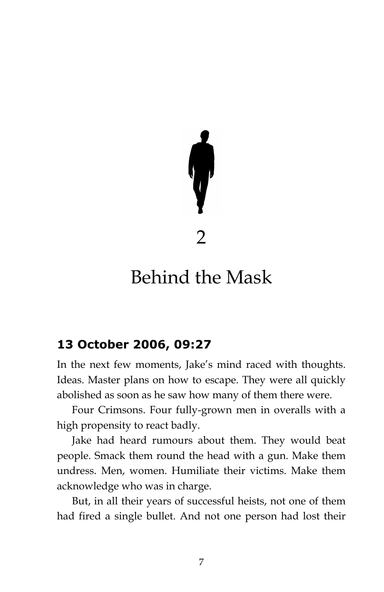

# Behind the Mask

#### **13 October 2006, 09:27**

In the next few moments, Jake's mind raced with thoughts. Ideas. Master plans on how to escape. They were all quickly abolished as soon as he saw how many of them there were.

Four Crimsons. Four fully-grown men in overalls with a high propensity to react badly.

Jake had heard rumours about them. They would beat people. Smack them round the head with a gun. Make them undress. Men, women. Humiliate their victims. Make them acknowledge who was in charge.

But, in all their years of successful heists, not one of them had fired a single bullet. And not one person had lost their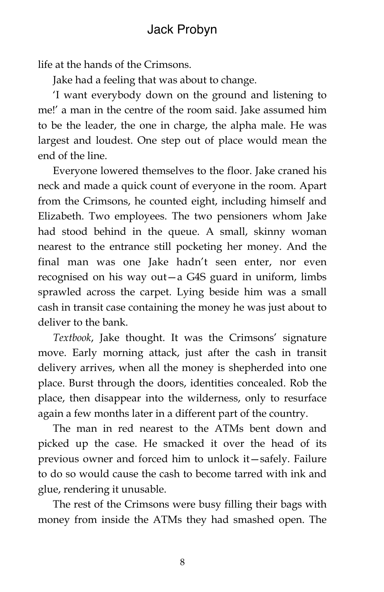life at the hands of the Crimsons.

Jake had a feeling that was about to change.

'I want everybody down on the ground and listening to me!' a man in the centre of the room said. Jake assumed him to be the leader, the one in charge, the alpha male. He was largest and loudest. One step out of place would mean the end of the line.

Everyone lowered themselves to the floor. Jake craned his neck and made a quick count of everyone in the room. Apart from the Crimsons, he counted eight, including himself and Elizabeth. Two employees. The two pensioners whom Jake had stood behind in the queue. A small, skinny woman nearest to the entrance still pocketing her money. And the final man was one Jake hadn't seen enter, nor even recognised on his way out—a G4S guard in uniform, limbs sprawled across the carpet. Lying beside him was a small cash in transit case containing the money he was just about to deliver to the bank.

*Textbook*, Jake thought. It was the Crimsons' signature move. Early morning attack, just after the cash in transit delivery arrives, when all the money is shepherded into one place. Burst through the doors, identities concealed. Rob the place, then disappear into the wilderness, only to resurface again a few months later in a different part of the country.

The man in red nearest to the ATMs bent down and picked up the case. He smacked it over the head of its previous owner and forced him to unlock it—safely. Failure to do so would cause the cash to become tarred with ink and glue, rendering it unusable.

The rest of the Crimsons were busy filling their bags with money from inside the ATMs they had smashed open. The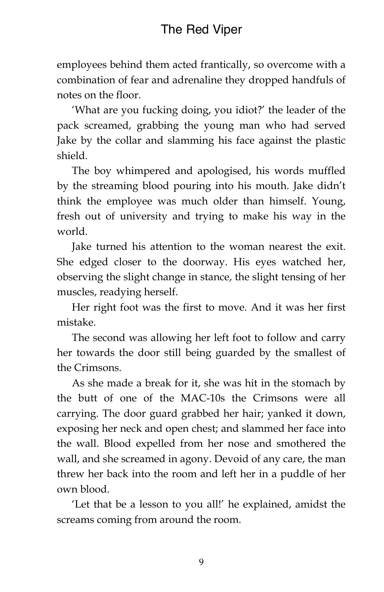## The Red Viper

employees behind them acted frantically, so overcome with a combination of fear and adrenaline they dropped handfuls of notes on the floor.

'What are you fucking doing, you idiot?' the leader of the pack screamed, grabbing the young man who had served Jake by the collar and slamming his face against the plastic shield.

The boy whimpered and apologised, his words muffled by the streaming blood pouring into his mouth. Jake didn't think the employee was much older than himself. Young, fresh out of university and trying to make his way in the world.

Jake turned his attention to the woman nearest the exit. She edged closer to the doorway. His eyes watched her, observing the slight change in stance, the slight tensing of her muscles, readying herself.

Her right foot was the first to move. And it was her first mistake.

The second was allowing her left foot to follow and carry her towards the door still being guarded by the smallest of the Crimsons.

As she made a break for it, she was hit in the stomach by the butt of one of the MAC-10s the Crimsons were all carrying. The door guard grabbed her hair; yanked it down, exposing her neck and open chest; and slammed her face into the wall. Blood expelled from her nose and smothered the wall, and she screamed in agony. Devoid of any care, the man threw her back into the room and left her in a puddle of her own blood.

'Let that be a lesson to you all!' he explained, amidst the screams coming from around the room.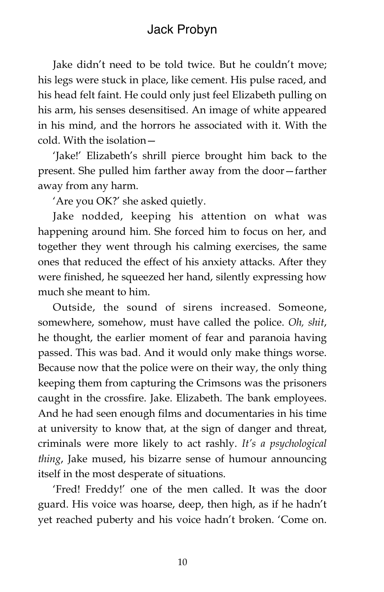## Jack Probyn

Jake didn't need to be told twice. But he couldn't move; his legs were stuck in place, like cement. His pulse raced, and his head felt faint. He could only just feel Elizabeth pulling on his arm, his senses desensitised. An image of white appeared in his mind, and the horrors he associated with it. With the cold. With the isolation—

'Jake!' Elizabeth's shrill pierce brought him back to the present. She pulled him farther away from the door—farther away from any harm.

'Are you OK?' she asked quietly.

Jake nodded, keeping his attention on what was happening around him. She forced him to focus on her, and together they went through his calming exercises, the same ones that reduced the effect of his anxiety attacks. After they were finished, he squeezed her hand, silently expressing how much she meant to him.

Outside, the sound of sirens increased. Someone, somewhere, somehow, must have called the police. *Oh, shit*, he thought, the earlier moment of fear and paranoia having passed. This was bad. And it would only make things worse. Because now that the police were on their way, the only thing keeping them from capturing the Crimsons was the prisoners caught in the crossfire. Jake. Elizabeth. The bank employees. And he had seen enough films and documentaries in his time at university to know that, at the sign of danger and threat, criminals were more likely to act rashly. *It's a psychological thing*, Jake mused, his bizarre sense of humour announcing itself in the most desperate of situations.

'Fred! Freddy!' one of the men called. It was the door guard. His voice was hoarse, deep, then high, as if he hadn't yet reached puberty and his voice hadn't broken. 'Come on.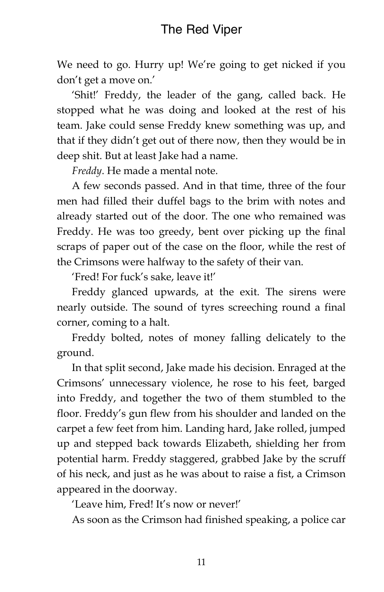## The Red Viper

We need to go. Hurry up! We're going to get nicked if you don't get a move on.'

'Shit!' Freddy, the leader of the gang, called back. He stopped what he was doing and looked at the rest of his team. Jake could sense Freddy knew something was up, and that if they didn't get out of there now, then they would be in deep shit. But at least Jake had a name.

*Freddy*. He made a mental note.

A few seconds passed. And in that time, three of the four men had filled their duffel bags to the brim with notes and already started out of the door. The one who remained was Freddy. He was too greedy, bent over picking up the final scraps of paper out of the case on the floor, while the rest of the Crimsons were halfway to the safety of their van.

'Fred! For fuck's sake, leave it!'

Freddy glanced upwards, at the exit. The sirens were nearly outside. The sound of tyres screeching round a final corner, coming to a halt.

Freddy bolted, notes of money falling delicately to the ground.

In that split second, Jake made his decision. Enraged at the Crimsons' unnecessary violence, he rose to his feet, barged into Freddy, and together the two of them stumbled to the floor. Freddy's gun flew from his shoulder and landed on the carpet a few feet from him. Landing hard, Jake rolled, jumped up and stepped back towards Elizabeth, shielding her from potential harm. Freddy staggered, grabbed Jake by the scruff of his neck, and just as he was about to raise a fist, a Crimson appeared in the doorway.

'Leave him, Fred! It's now or never!'

As soon as the Crimson had finished speaking, a police car